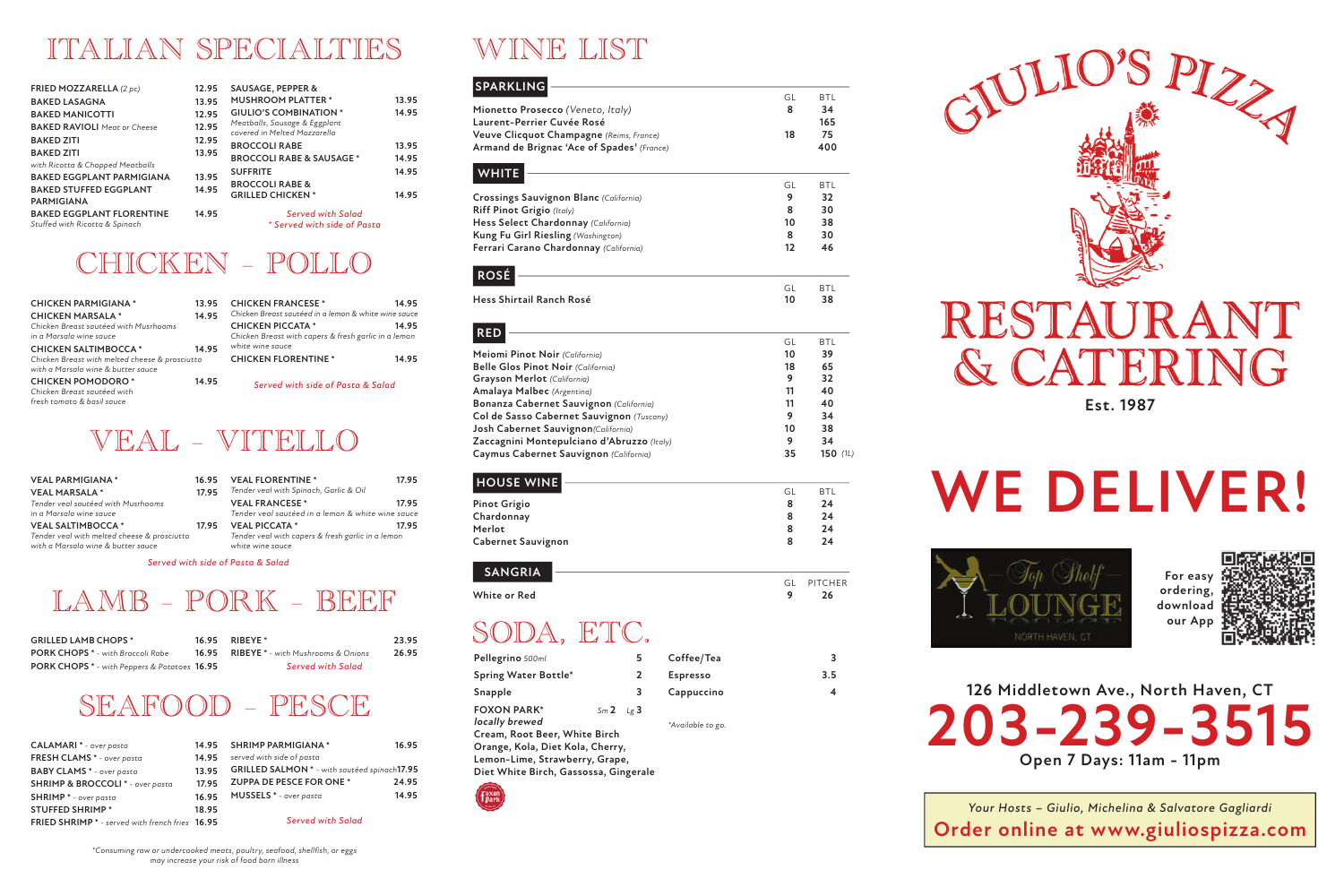### WINE LIST

**126 Middletown Ave., North Haven, CT 203-239-3515 Open 7 Days: 11am - 11pm**

| Pellegrino 500ml                      | 5            | Coffee/Tea        | 3                  |
|---------------------------------------|--------------|-------------------|--------------------|
| <b>Spring Water Bottle*</b>           | $\mathbf{2}$ | <b>Espresso</b>   | 3.5                |
| Snapple                               | 3            | Cappuccino        | $\overline{\bf 4}$ |
| <b>FOXON PARK*</b><br>locally brewed  | $Sm2$ $Lg3$  |                   |                    |
| Cream, Root Beer, White Birch         |              | *Available to go. |                    |
| Orange, Kola, Diet Kola, Cherry,      |              |                   |                    |
| Lemon-Lime, Strawberry, Grape,        |              |                   |                    |
| Diet White Birch, Gassossa, Gingerale |              |                   |                    |
| $\overline{\phantom{m}}$              |              |                   |                    |



### SODA, ETC.

**Est. 1987**

# **WE DELIVER!**



*Your Hosts – Giulio, Michelina & Salvatore Gagliardi* **Order online at www.giuliospizza.com**

**For easy ordering, download our App**



### ITALIAN SPECIALTIES

| <b>FRIED MOZZARELLA</b> (2 pc)                                     | 12.95 | <b>SAUSAGE, PEPPER &amp;</b>                                  |       |
|--------------------------------------------------------------------|-------|---------------------------------------------------------------|-------|
| <b>BAKED LASAGNA</b>                                               | 13.95 | <b>MUSHROOM PLATTER *</b>                                     | 13.95 |
| <b>BAKED MANICOTTI</b>                                             | 12.95 | <b>GIULIO'S COMBINATION *</b>                                 | 14.95 |
| <b>BAKED RAVIOLI</b> Meat or Cheese                                | 12.95 | Meatballs, Sausage & Eggplant<br>covered in Melted Mozzarella |       |
| <b>BAKED ZITI</b>                                                  | 12.95 | <b>BROCCOLI RABE</b>                                          | 13.95 |
| <b>BAKED ZITI</b><br>with Ricotta & Chopped Meatballs              | 13.95 | <b>BROCCOLI RABE &amp; SAUSAGE *</b>                          | 14.95 |
| <b>BAKED EGGPLANT PARMIGIANA</b>                                   | 13.95 | <b>SUFFRITE</b>                                               | 14.95 |
| <b>BAKED STUFFED EGGPLANT</b><br><b>PARMIGIANA</b>                 | 14.95 | <b>BROCCOLI RABE &amp;</b><br><b>GRILLED CHICKEN *</b>        | 14.95 |
| <b>BAKED EGGPLANT FLORENTINE</b><br>Stuffed with Ricotta & Spinach | 14.95 | <b>Served with Salad</b><br>* Served with side of Pasta       |       |

#### **SPARKLING WHITE** GL BTL **Crossings Sauvignon Blanc** *(California)* **9 32 Riff Pinot Grigio** *(Italy)* **8 30 Hess Select Chardonnay** *(California)* **10 38 Kung Fu Girl Riesling** *(Washington)* **8 30 Ferrari Carano Chardonnay** *(California)* **12 46 RED** GL BTL **Meiomi Pinot Noir** *(California)* **10 10 39**<br> **18 65 18 18 Belle Glos Pinot Noir** *(California)* **18 65 Grayson Merlot** *(California)* **9 32 Amalaya Malbec** *(Argentina)* **11 40 Bonanza Cabernet Sauvignon** (California) **11 11 40**<br> **11 140 Col de Sasso Cabernet Sauvignon** *(Tuscanv)* 11 **140 9 134 Col de Sasso Cabernet Sauvignon** *(Tuscany)* **10 344 10 344 10 10 Josh Cabernet Sauvignon***(California)* **10 38 Zaccagnini Montepulciano d'Abruzzo** *(Italy)* **9 34 Caymus Cabernet Sauvignon** *(California)* **35 150 HOUSE WINE** GL BTL **Pinot Grigio 8 24 Chardonnay 8 24 Merlot 8 24 Cabernet Sauvignon 8 24 SANGRIA** GL PITCHER **White or Red 9 26 ROSÉ** GL BTL **Hess Shirtail Ranch Rosé 10 38** GL BTL **Mionetto Prosecco** *(Veneto, Italy)* **8 34 Laurent-Perrier Cuvée Rosé 165 Veuve Clicquot Champagne** *(Reims, France)* **18 75 Armand de Brignac 'Ace of Spades'** *(France)* **400** *(1L)*

#### CHICKEN – POLLO

| <b>CHICKEN PARMIGIANA *</b>                                                           | 13.95 | <b>CHICKEN FRANCESE *</b>                            | 14.95 |
|---------------------------------------------------------------------------------------|-------|------------------------------------------------------|-------|
| <b>CHICKEN MARSALA *</b>                                                              | 14.95 | Chicken Breast sautéed in a lemon & white wine sauce |       |
| Chicken Breast sautéed with Musrhooms                                                 |       | <b>CHICKEN PICCATA *</b>                             | 14.95 |
| in a Marsala wine sauce                                                               |       | Chicken Breast with capers & fresh garlic in a lemon |       |
| <b>CHICKEN SALTIMBOCCA*</b>                                                           | 14.95 | white wine sauce                                     |       |
| Chicken Breast with melted cheese & prosciutto<br>with a Marsala wine & butter sauce  |       | <b>CHICKEN FLORENTINE *</b>                          | 14.95 |
| <b>CHICKEN POMODORO*</b><br>Chicken Breast sautéed with<br>fresh tomato & basil sauce | 14.95 | Served with side of Pasta & Salad                    |       |
|                                                                                       |       |                                                      |       |

#### VEAL – VITELLO

| <b>VEAL PARMIGIANA *</b><br><b>VEAL MARSALA*</b>                                                              | 16.95<br>17.95 | <b>VEAL FLORENTINE *</b><br>Tender veal with Spinach, Garlic & Oil                             | 17.95 |
|---------------------------------------------------------------------------------------------------------------|----------------|------------------------------------------------------------------------------------------------|-------|
| Tender veal sautéed with Musrhooms<br>in a Marsala wine sauce                                                 |                | <b>VEAL FRANCESE *</b><br>Tender veal sautéed in a lemon & white wine sauce                    | 17.95 |
| <b>VEAL SALTIMBOCCA*</b><br>Tender veal with melted cheese & prosciutto<br>with a Marsala wine & butter sauce | 17.95          | <b>VEAL PICCATA *</b><br>Tender veal with capers & fresh garlic in a lemon<br>white wine sauce | 17.95 |

*Served with side of Pasta & Salad*

#### LAMB – PORK – BEEF

| <b>GRILLED LAMB CHOPS *</b>                         | 16.95 RIBEYE *                                  | 23.95 |
|-----------------------------------------------------|-------------------------------------------------|-------|
| <b>PORK CHOPS</b> * - with Broccoli Rabe            | <b>16.95 RIBEYE</b> * - with Mushrooms & Onions | 26.95 |
| <b>PORK CHOPS</b> * - with Peppers & Potatoes 16.95 | Served with Salad                               |       |

#### SEAFOOD – PESCE

| <b>CALAMARI</b> * - over pasta                             | 14.95 | <b>SHRIMP PARMIGIANA *</b>                   | 16.95 |
|------------------------------------------------------------|-------|----------------------------------------------|-------|
| FRESH CLAMS * - over pasta                                 | 14.95 | served with side of pasta                    |       |
| <b>BABY CLAMS</b> * - over pasta                           | 13.95 | GRILLED SALMON * - with sautéed spinach17.95 |       |
| SHRIMP & BROCCOLI * - over pasta                           | 17.95 | ZUPPA DE PESCE FOR ONE *                     | 24.95 |
| <b>SHRIMP</b> * - over pasta                               | 16.95 | <b>MUSSELS</b> * - over pasta                | 14.95 |
| <b>STUFFED SHRIMP*</b>                                     | 18.95 |                                              |       |
| FRIED SHRIMP <sup>*</sup> - served with french fries 16.95 |       | <b>Served with Salad</b>                     |       |
|                                                            |       |                                              |       |

![](_page_0_Picture_17.jpeg)

# RESTAUR A CATERING